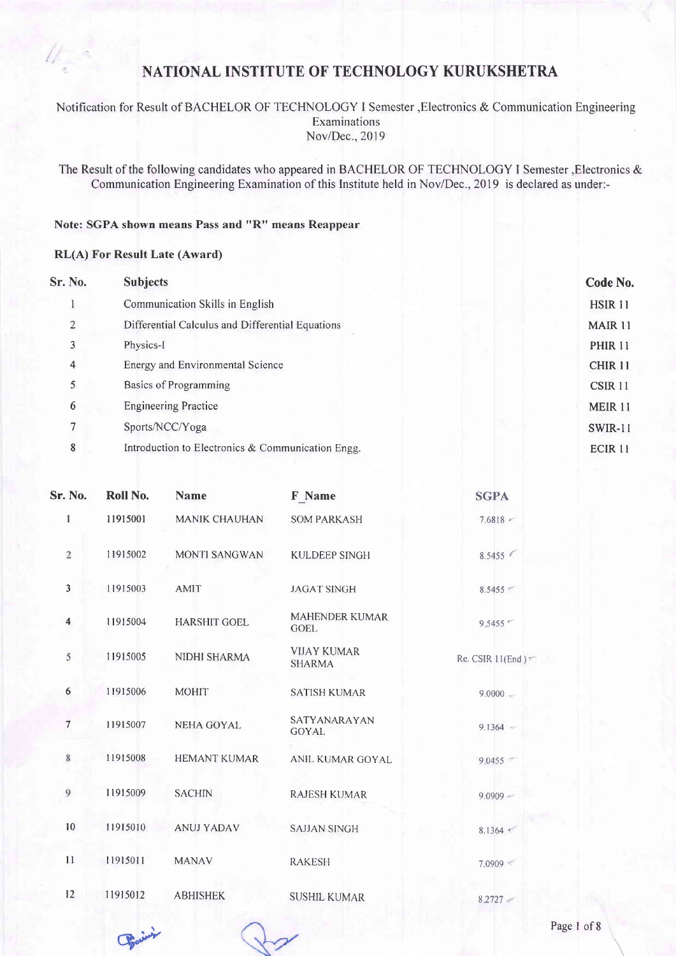Notification for Result of BACHELOR OF TECHNOLOGY I Semester , Electronics & Communication Engineering Examinations Nov/Dec.,2019

The Result of the following candidates who appeared in BACHELOR OF TECHNOLOGY I Semester, Electronics & Communication Engineering Examination of this Institute held in Nov/Dec.,2019 is declared as under:-

#### Note: SGPA shown means Pass and "R" means Reappear

#### RL(A) For Result Late (Award)

| Sr. No.        | <b>Subjects</b>                                   | Code No.           |
|----------------|---------------------------------------------------|--------------------|
|                | Communication Skills in English                   | HSIR <sub>11</sub> |
| 2              | Differential Calculus and Differential Equations  | <b>MAIR 11</b>     |
| 3              | Physics-I                                         | <b>PHIR 11</b>     |
| $\overline{4}$ | Energy and Environmental Science                  | CHIR <sub>11</sub> |
| 5              | Basics of Programming                             | CSIR 11            |
| 6              | <b>Engineering Practice</b>                       | MEIR 11            |
| 7              | Sports/NCC/Yoga                                   | SWIR-11            |
| 8              | Introduction to Electronics & Communication Engg. | ECIR <sub>11</sub> |
|                |                                                   |                    |

| <b>Sr. No.</b> | Roll No. | <b>Name</b>          | F Name                               | <b>SGPA</b>       |
|----------------|----------|----------------------|--------------------------------------|-------------------|
| $\mathbf{1}$   | 11915001 | <b>MANIK CHAUHAN</b> | <b>SOM PARKASH</b>                   | $7.6818 -$        |
| $\overline{2}$ | 11915002 | <b>MONTI SANGWAN</b> | <b>KULDEEP SINGH</b>                 | 8.5455            |
| $\mathbf{3}$   | 11915003 | <b>AMIT</b>          | <b>JAGAT SINGH</b>                   | 8.5455            |
| $\overline{4}$ | 11915004 | <b>HARSHIT GOEL</b>  | <b>MAHENDER KUMAR</b><br><b>GOEL</b> | 9,5455            |
| 5              | 11915005 | NIDHI SHARMA         | <b>VIJAY KUMAR</b><br><b>SHARMA</b>  | Re. CSIR 11(End): |
| 6              | 11915006 | <b>MOHIT</b>         | <b>SATISH KUMAR</b>                  | $9.0000 -$        |
| $\tau$         | 11915007 | <b>NEHA GOYAL</b>    | SATYANARAYAN<br><b>GOYAL</b>         | $9.1364 -$        |
| 8              | 11915008 | <b>HEMANT KUMAR</b>  | <b>ANIL KUMAR GOYAL</b>              | 9.0455            |
| 9              | 11915009 | <b>SACHIN</b>        | <b>RAJESH KUMAR</b>                  | $9.0909 -$        |
| 10             | 11915010 | <b>ANUJ YADAV</b>    | <b>SAJJAN SINGH</b>                  | 8.1364            |
| 11             | 11915011 | <b>MANAV</b>         | <b>RAKESH</b>                        | $7.0909$ \cdot    |
| 12             | 11915012 | <b>ABHISHEK</b>      | <b>SUSHIL KUMAR</b>                  | 8.2727            |
|                |          |                      |                                      |                   |

Bain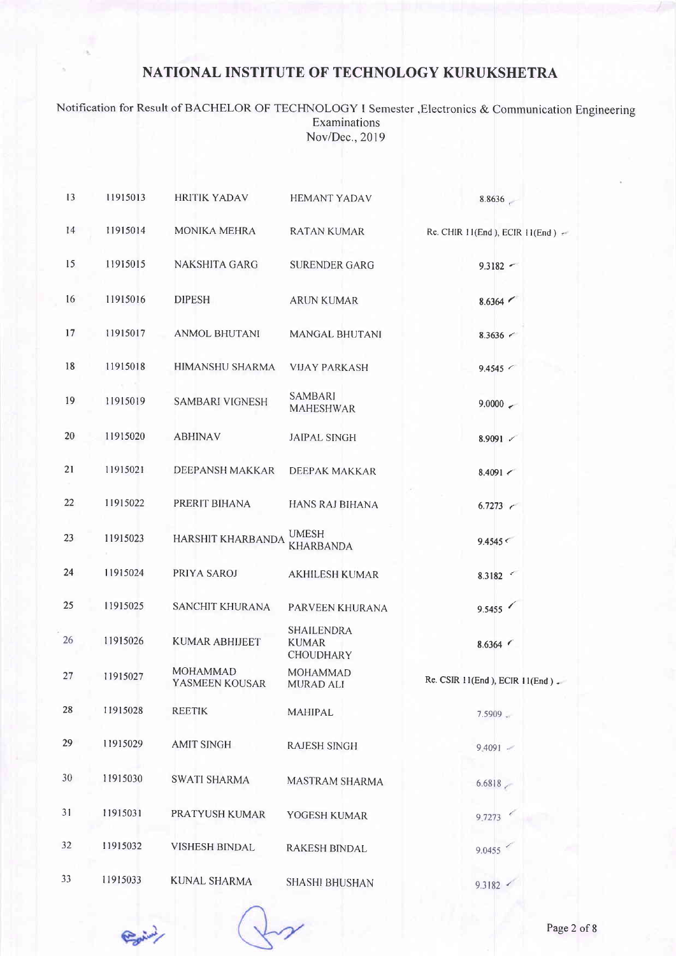Notification for Result of BACHELOR OF TECHNOLOGY I Semester, Electronics & Communication Engineering Examinations Nov/Dec., 2019

| 13 | 11915013 | <b>HRITIK YADAV</b>        | <b>HEMANT YADAV</b>                                   | 8.8636                                |
|----|----------|----------------------------|-------------------------------------------------------|---------------------------------------|
| 14 | 11915014 | <b>MONIKA MEHRA</b>        | <b>RATAN KUMAR</b>                                    | Re. CHIR $11(End)$ , ECIR $11(End)$   |
| 15 | 11915015 | <b>NAKSHITA GARG</b>       | <b>SURENDER GARG</b>                                  | $9.3182 -$                            |
| 16 | 11915016 | <b>DIPESH</b>              | <b>ARUN KUMAR</b>                                     | 8.6364                                |
| 17 | 11915017 | <b>ANMOL BHUTANI</b>       | <b>MANGAL BHUTANI</b>                                 | $8.3636$ $\leq$                       |
| 18 | 11915018 | <b>HIMANSHU SHARMA</b>     | <b>VIJAY PARKASH</b>                                  | $9.4545$ $\leq$                       |
| 19 | 11915019 | <b>SAMBARI VIGNESH</b>     | <b>SAMBARI</b><br><b>MAHESHWAR</b>                    | $9.0000 \div$                         |
| 20 | 11915020 | <b>ABHINAV</b>             | <b>JAIPAL SINGH</b>                                   | 8.9091 $\nu$                          |
| 21 | 11915021 | DEEPANSH MAKKAR            | <b>DEEPAK MAKKAR</b>                                  | 8.4091                                |
| 22 | 11915022 | PRERIT BIHANA              | HANS RAJ BIHANA                                       | 6.7273                                |
| 23 | 11915023 | HARSHIT KHARBANDA          | <b>UMESH</b><br><b>KHARBANDA</b>                      | 9.4545<                               |
| 24 | 11915024 | PRIYA SAROJ                | <b>AKHILESH KUMAR</b>                                 | 8.3182 $\leq$                         |
| 25 | 11915025 | SANCHIT KHURANA            | PARVEEN KHURANA                                       | 9.5455                                |
| 26 | 11915026 | <b>KUMAR ABHIJEET</b>      | <b>SHAILENDRA</b><br><b>KUMAR</b><br><b>CHOUDHARY</b> | 8.6364                                |
| 27 | 11915027 | MOHAMMAD<br>YASMEEN KOUSAR | <b>MOHAMMAD</b><br><b>MURAD ALI</b>                   | Re. CSIR $11(End)$ , ECIR $11(End)$ . |
| 28 | 11915028 | <b>REETIK</b>              | <b>MAHIPAL</b>                                        | $7.5909 -$                            |
| 29 | 11915029 | <b>AMIT SINGH</b>          | <b>RAJESH SINGH</b>                                   | 9.4091                                |
| 30 | 11915030 | <b>SWATI SHARMA</b>        | MASTRAM SHARMA                                        | 6.6818                                |
| 31 | 11915031 | PRATYUSH KUMAR             | YOGESH KUMAR                                          | 9.7273                                |
| 32 | 11915032 | <b>VISHESH BINDAL</b>      | <b>RAKESH BINDAL</b>                                  | 9.0455                                |
| 33 | 11915033 | <b>KUNAL SHARMA</b>        | SHASHI BHUSHAN                                        | 9.3182                                |

Paring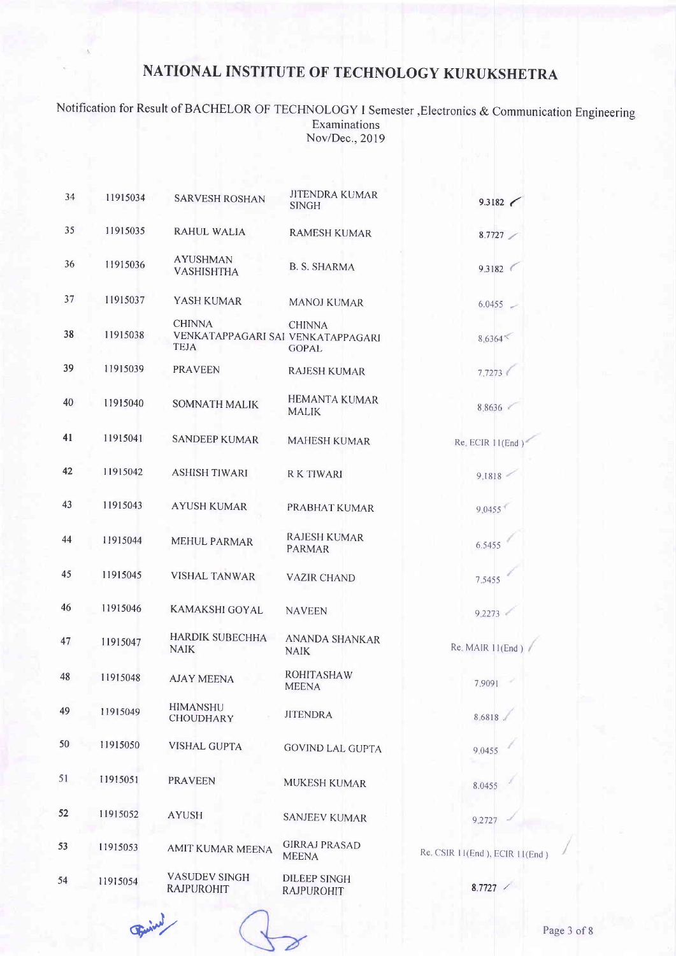Notification for Result of BACHELOR OF TECHNOLOGY I Semester,Electronics & Communication Engineering Examinations Nov/Dec.,2019

| 34 | 11915034 | <b>SARVESH ROSHAN</b>                                             | <b>JITENDRA KUMAR</b><br><b>SINGH</b>    | 9.3182 $\sim$                  |
|----|----------|-------------------------------------------------------------------|------------------------------------------|--------------------------------|
| 35 | 11915035 | RAHUL WALIA                                                       | <b>RAMESH KUMAR</b>                      | 8.7727                         |
| 36 | 11915036 | <b>AYUSHMAN</b><br><b>VASHISHTHA</b>                              | <b>B. S. SHARMA</b>                      | 9.3182                         |
| 37 | 11915037 | YASH KUMAR                                                        | <b>MANOJ KUMAR</b>                       | $6.0455 =$                     |
| 38 | 11915038 | <b>CHINNA</b><br>VENKATAPPAGARI SAI VENKATAPPAGARI<br><b>TEJA</b> | <b>CHINNA</b><br>GOPAL                   | 8,6364                         |
| 39 | 11915039 | <b>PRAVEEN</b>                                                    | <b>RAJESH KUMAR</b>                      | 7,7273                         |
| 40 | 11915040 | <b>SOMNATH MALIK</b>                                              | <b>HEMANTA KUMAR</b><br><b>MALIK</b>     | 8.8636                         |
| 41 | 11915041 | <b>SANDEEP KUMAR</b>                                              | <b>MAHESH KUMAR</b>                      | Re. ECIR 11(End)               |
| 42 | 11915042 | <b>ASHISH TIWARI</b>                                              | <b>RK TIWARI</b>                         | 9.1818                         |
| 43 | 11915043 | <b>AYUSH KUMAR</b>                                                | PRABHAT KUMAR                            | 9,0455                         |
| 44 | 11915044 | <b>MEHUL PARMAR</b>                                               | <b>RAJESH KUMAR</b><br><b>PARMAR</b>     | 6.5455                         |
| 45 | 11915045 | <b>VISHAL TANWAR</b>                                              | <b>VAZIR CHAND</b>                       | 7.5455                         |
| 46 | 11915046 | <b>KAMAKSHI GOYAL</b>                                             | <b>NAVEEN</b>                            | 9.2273                         |
| 47 | 11915047 | <b>HARDIK SUBECHHA</b><br><b>NAIK</b>                             | <b>ANANDA SHANKAR</b><br><b>NAIK</b>     | Re. MAIR 11(End)               |
| 48 | 11915048 | <b>AJAY MEENA</b>                                                 | <b>ROHITASHAW</b><br><b>MEENA</b>        | 7.9091                         |
| 49 | 11915049 | <b>HIMANSHU</b><br><b>CHOUDHARY</b>                               | <b>JITENDRA</b>                          | 8.6818                         |
| 50 | 11915050 | <b>VISHAL GUPTA</b>                                               | <b>GOVIND LAL GUPTA</b>                  | 9.0455                         |
| 51 | 11915051 | <b>PRAVEEN</b>                                                    | <b>MUKESH KUMAR</b>                      | 8.0455                         |
| 52 | 11915052 | <b>AYUSH</b>                                                      | <b>SANJEEV KUMAR</b>                     | 9.2727                         |
| 53 | 11915053 | AMIT KUMAR MEENA                                                  | <b>GIRRAJ PRASAD</b><br><b>MEENA</b>     | Re. CSIR 11(End), ECIR 11(End) |
| 54 | 11915054 | <b>VASUDEV SINGH</b><br><b>RAJPUROHIT</b>                         | <b>DILEEP SINGH</b><br><b>RAJPUROHIT</b> | 8.7727                         |

Fried

Page 3 of 8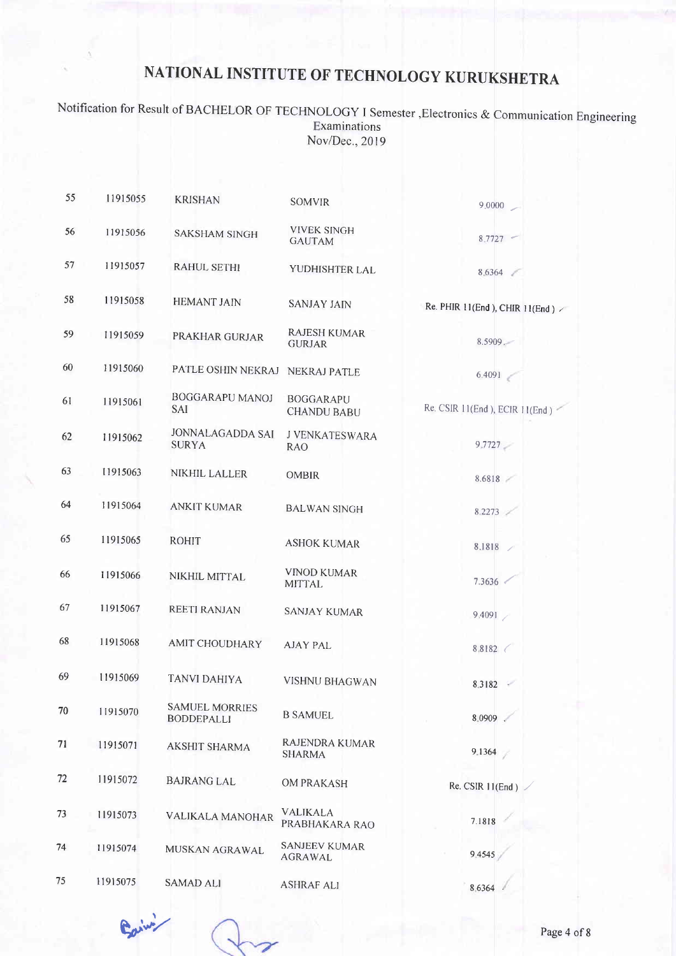Notification for Result of BACHELOR OF TECHNOLOGY I Semester , Electronics & Communication Engineering Examinations Nov/Dec., 2019

| 55 | 11915055 | <b>KRISHAN</b>                             | <b>SOMVIR</b>                          | 9,0000                                  |
|----|----------|--------------------------------------------|----------------------------------------|-----------------------------------------|
| 56 | 11915056 | <b>SAKSHAM SINGH</b>                       | <b>VIVEK SINGH</b><br><b>GAUTAM</b>    | $8.7727 -$                              |
| 57 | 11915057 | <b>RAHUL SETHI</b>                         | YUDHISHTER LAL                         | 8.6364                                  |
| 58 | 11915058 | <b>HEMANT JAIN</b>                         | <b>SANJAY JAIN</b>                     | Re. PHIR 11(End), CHIR 11(End) $\times$ |
| 59 | 11915059 | PRAKHAR GURJAR                             | <b>RAJESH KUMAR</b><br><b>GURJAR</b>   | 8.5909.                                 |
| 60 | 11915060 | PATLE OSHIN NEKRAJ                         | NEKRAJ PATLE                           | 6.4091                                  |
| 61 | 11915061 | <b>BOGGARAPU MANOJ</b><br><b>SAI</b>       | <b>BOGGARAPU</b><br><b>CHANDU BABU</b> | Re. CSIR 11(End), ECIR 11(End)          |
| 62 | 11915062 | <b>JONNALAGADDA SAI</b><br><b>SURYA</b>    | J VENKATESWARA<br>RAO                  | 9.7727                                  |
| 63 | 11915063 | <b>NIKHIL LALLER</b>                       | <b>OMBIR</b>                           | 8.6818                                  |
| 64 | 11915064 | <b>ANKIT KUMAR</b>                         | <b>BALWAN SINGH</b>                    | 8.2273                                  |
| 65 | 11915065 | <b>ROHIT</b>                               | <b>ASHOK KUMAR</b>                     | 8.1818                                  |
| 66 | 11915066 | NIKHIL MITTAL                              | <b>VINOD KUMAR</b><br><b>MITTAL</b>    | 7.3636                                  |
| 67 | 11915067 | REETI RANJAN                               | <b>SANJAY KUMAR</b>                    | 9.4091                                  |
| 68 | 11915068 | <b>AMIT CHOUDHARY</b>                      | <b>AJAY PAL</b>                        | 8.8182                                  |
| 69 | 11915069 | <b>TANVI DAHIYA</b>                        | <b>VISHNU BHAGWAN</b>                  | 8.3182                                  |
| 70 | 11915070 | <b>SAMUEL MORRIES</b><br><b>BODDEPALLI</b> | <b>B SAMUEL</b>                        | 8.0909                                  |
| 71 | 11915071 | <b>AKSHIT SHARMA</b>                       | RAJENDRA KUMAR<br>SHARMA               | 9.1364                                  |
| 72 | 11915072 | <b>BAJRANG LAL</b>                         | <b>OM PRAKASH</b>                      | Re. CSIR 11(End)                        |
| 73 | 11915073 | VALIKALA MANOHAR                           | <b>VALIKALA</b><br>PRABHAKARA RAO      | 7.1818                                  |
| 74 | 11915074 | MUSKAN AGRAWAL                             | <b>SANJEEV KUMAR</b><br><b>AGRAWAL</b> | 9.4545                                  |
| 75 | 11915075 | <b>SAMAD ALI</b>                           | <b>ASHRAF ALI</b>                      | 8.6364                                  |

Early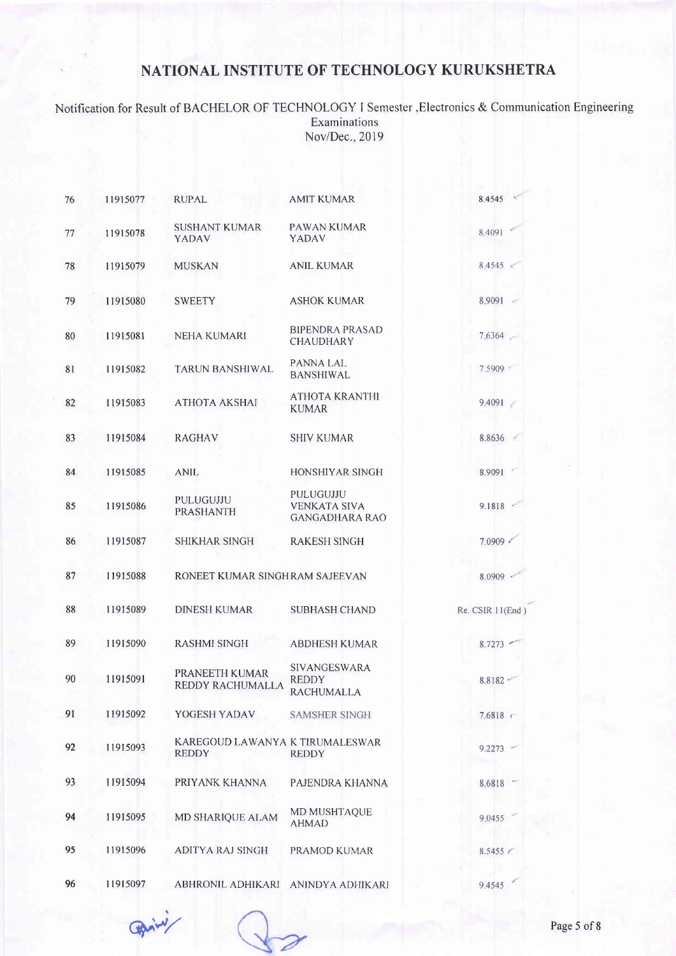Notification for Result of BACHELOR OF TECHNOLOG\' I Semester,Electronics & Communication Engineering Examinations Nov/Dec., 2019

| 76 | 11915077 | <b>RUPAL</b>                                    | <b>AMIT KUMAR</b>                                         | 8.4545           |
|----|----------|-------------------------------------------------|-----------------------------------------------------------|------------------|
| 77 | 11915078 | <b>SUSHANT KUMAR</b><br>YADAV                   | PAWAN KUMAR<br>YADAV                                      | 8.4091           |
| 78 | 11915079 | <b>MUSKAN</b>                                   | <b>ANIL KUMAR</b>                                         | 8,4545           |
| 79 | 11915080 | <b>SWEETY</b>                                   | <b>ASHOK KUMAR</b>                                        | 8.9091 -         |
| 80 | 11915081 | <b>NEHA KUMARI</b>                              | <b>BIPENDRA PRASAD</b><br><b>CHAUDHARY</b>                | 7.6364           |
| 81 | 11915082 | <b>TARUN BANSHIWAL</b>                          | PANNA LAL<br><b>BANSHIWAL</b>                             | 7.5909           |
| 82 | 11915083 | ATHOTA AKSHAI                                   | <b>ATHOTA KRANTHI</b><br><b>KUMAR</b>                     | 9.4091           |
| 83 | 11915084 | <b>RAGHAV</b>                                   | <b>SHIV KUMAR</b>                                         | 8.8636           |
| 84 | 11915085 | <b>ANIL</b>                                     | <b>HONSHIYAR SINGH</b>                                    | 8.9091           |
| 85 | 11915086 | PULUGUJJU<br><b>PRASHANTH</b>                   | PULUGUJJU<br><b>VENKATA SIVA</b><br><b>GANGADHARA RAO</b> | 9.1818           |
| 86 | 11915087 | <b>SHIKHAR SINGH</b>                            | <b>RAKESH SINGH</b>                                       | 7.0909           |
| 87 | 11915088 | RONEET KUMAR SINGHRAM SAJEEVAN                  |                                                           | $8.0909$ $\cdot$ |
| 88 | 11915089 | <b>DINESH KUMAR</b>                             | <b>SUBHASH CHAND</b>                                      | Re. CSIR 11(End) |
| 89 | 11915090 | <b>RASHMI SINGH</b>                             | <b>ABDHESH KUMAR</b>                                      | 8.7273           |
| 90 | 11915091 | PRANEETH KUMAR<br>REDDY RACHUMALLA              | SIVANGESWARA<br><b>REDDY</b><br><b>RACHUMALLA</b>         | 8.8182           |
| 91 | 11915092 | YOGESH YADAV                                    | <b>SAMSHER SINGH</b>                                      | $7.6818$ <       |
| 92 | 11915093 | KAREGOUD LAWANYA K TIRUMALESWAR<br><b>REDDY</b> | <b>REDDY</b>                                              | $9.2273$ $-$     |
| 93 | 11915094 | PRIYANK KHANNA                                  | PAJENDRA KHANNA                                           | 8.6818           |
| 94 | 11915095 | MD SHARIQUE ALAM                                | MD MUSHTAQUE<br><b>AHMAD</b>                              | 9.0455           |
| 95 | 11915096 | ADITYA RAJ SINGH                                | PRAMOD KUMAR                                              | 8.5455           |
| 96 | 11915097 | ABHRONIL ADHIKARI                               | ANINDYA ADHIKARI                                          | 9.4545           |

 $q_{\text{pair}}$  Page 5 of 8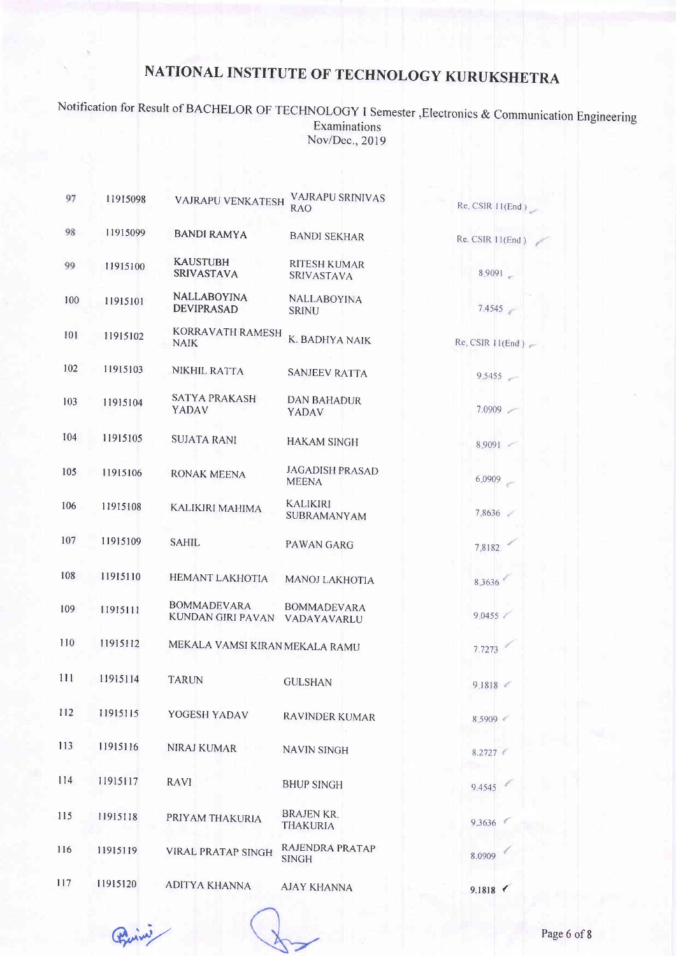Notification for Result of BACHELOR OF TECHNOLOGY I Semester , Electronics & Communication Engineering Examinations Nov/Dec., 2019

| 97  | 11915098 | <b>VAJRAPU VENKATESH</b>                | <b>VAJRAPU SRINIVAS</b><br>RAO           | Re. CSIR 11(End)   |
|-----|----------|-----------------------------------------|------------------------------------------|--------------------|
| 98  | 11915099 | <b>BANDI RAMYA</b>                      | <b>BANDI SEKHAR</b>                      | Re. CSIR 11(End)   |
| 99  | 11915100 | <b>KAUSTUBH</b><br><b>SRIVASTAVA</b>    | <b>RITESH KUMAR</b><br><b>SRIVASTAVA</b> | 8,9091             |
| 100 | 11915101 | <b>NALLABOYINA</b><br><b>DEVIPRASAD</b> | <b>NALLABOYINA</b><br><b>SRINU</b>       | 7.4545             |
| 101 | 11915102 | KORRAVATH RAMESH<br><b>NAIK</b>         | K. BADHYA NAIK                           | Re. CSIR $11(End)$ |
| 102 | 11915103 | NIKHIL RATTA                            | <b>SANJEEV RATTA</b>                     | 9,5455             |
| 103 | 11915104 | SATYA PRAKASH<br>YADAV                  | <b>DAN BAHADUR</b><br>YADAV              | 7.0909             |
| 104 | 11915105 | <b>SUJATA RANI</b>                      | <b>HAKAM SINGH</b>                       | $8,9091$ -         |
| 105 | 11915106 | RONAK MEENA                             | <b>JAGADISH PRASAD</b><br><b>MEENA</b>   | 6.0909             |
| 106 | 11915108 | KALIKIRI MAHIMA                         | <b>KALIKIRI</b><br><b>SUBRAMANYAM</b>    | 78636              |
| 107 | 11915109 | <b>SAHIL</b>                            | <b>PAWAN GARG</b>                        | 7,8182             |
| 108 | 11915110 | HEMANT LAKHOTIA                         | MANOJ LAKHOTIA                           | 8.3636             |
| 109 | 11915111 | <b>BOMMADEVARA</b><br>KUNDAN GIRI PAVAN | <b>BOMMADEVARA</b><br>VADAYAVARLU        | 9.0455             |
| 110 | 11915112 | MEKALA VAMSI KIRAN MEKALA RAMU          |                                          | 7.7273             |
| 111 | 11915114 | <b>TARUN</b>                            | <b>GULSHAN</b>                           | 9.1818             |
| 112 | 11915115 | YOGESH YADAV                            | <b>RAVINDER KUMAR</b>                    | 8.5909             |
| 113 | 11915116 | NIRAJ KUMAR                             | <b>NAVIN SINGH</b>                       | 8.2727             |
| 114 | 11915117 | <b>RAVI</b>                             | <b>BHUP SINGH</b>                        | 9.4545             |
| 115 | 11915118 | PRIYAM THAKURIA                         | <b>BRAJEN KR.</b><br><b>THAKURIA</b>     | 9.3636             |
| 116 | 11915119 | <b>VIRAL PRATAP SINGH</b>               | RAJENDRA PRATAP<br><b>SINGH</b>          | 8.0909             |
| 117 | 11915120 | <b>ADITYA KHANNA</b>                    | <b>AJAY KHANNA</b>                       | 91818              |

Prince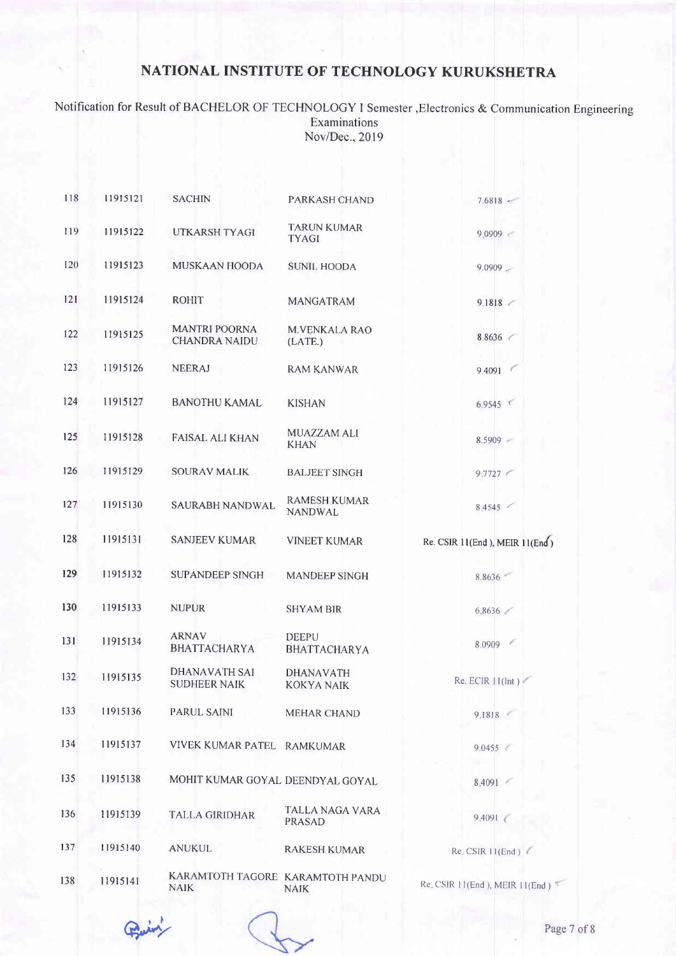Notification for Result of BACHELOR OF TECHNOLOGY I Semester,Electronics & Communication Engineering Examinations Nov/Dec.,2019

| 118 | 11915121 | <b>SACHIN</b>                                   | PARKASH CHAND                         | $7.6818 -$                     |
|-----|----------|-------------------------------------------------|---------------------------------------|--------------------------------|
| 119 | 11915122 | <b>UTKARSH TYAGI</b>                            | <b>TARUN KUMAR</b><br><b>TYAGI</b>    | 9.0909                         |
| 120 | 11915123 | MUSKAAN HOODA                                   | <b>SUNIL HOODA</b>                    | $9.0909 -$                     |
| 121 | 11915124 | <b>ROHIT</b>                                    | <b>MANGATRAM</b>                      | 9.1818                         |
| 122 | 11915125 | <b>MANTRI POORNA</b><br><b>CHANDRA NAIDU</b>    | <b>M.VENKALA RAO</b><br>(LATE.)       | 8.8636                         |
| 123 | 11915126 | <b>NEERAJ</b>                                   | RAM KANWAR                            | 9.4091                         |
| 124 | 11915127 | <b>BANOTHU KAMAL</b>                            | <b>KISHAN</b>                         | 6.9545                         |
| 125 | 11915128 | <b>FAISAL ALI KHAN</b>                          | <b>MUAZZAM ALI</b><br><b>KHAN</b>     | 8.5909                         |
| 126 | 11915129 | <b>SOURAV MALIK</b>                             | <b>BALJEET SINGH</b>                  | 9.7727                         |
| 127 | 11915130 | SAURABH NANDWAL                                 | <b>RAMESH KUMAR</b><br><b>NANDWAL</b> | 8.4545                         |
| 128 | 11915131 | <b>SANJEEV KUMAR</b>                            | <b>VINEET KUMAR</b>                   | Re. CSIR 11(End), MEIR 11(End) |
| 129 | 11915132 | <b>SUPANDEEP SINGH</b>                          | <b>MANDEEP SINGH</b>                  | 8.8636                         |
| 130 | 11915133 | <b>NUPUR</b>                                    | <b>SHYAM BIR</b>                      | 6.8636                         |
| 131 | 11915134 | <b>ARNAV</b><br><b>BHATTACHARYA</b>             | DEEPU<br><b>BHATTACHARYA</b>          | 8.0909                         |
| 132 | 11915135 | DHANAVATH SAI<br><b>SUDHEER NAIK</b>            | <b>DHANAVATH</b><br><b>KOKYA NAIK</b> | Re. ECIR $11$ (Int)            |
| 133 | 11915136 | PARUL SAINI                                     | <b>MEHAR CHAND</b>                    | 9,1818                         |
| 134 | 11915137 | VIVEK KUMAR PATEL RAMKUMAR                      |                                       | $9.0455 \in$                   |
| 135 | 11915138 | MOHIT KUMAR GOYAL DEENDYAL GOYAL                |                                       | 8.4091                         |
| 136 | 11915139 | <b>TALLA GIRIDHAR</b>                           | TALLA NAGA VARA<br>PRASAD             | 9.4091                         |
| 137 | 11915140 | <b>ANUKUL</b>                                   | <b>RAKESH KUMAR</b>                   | Re. CSIR 11(End)               |
| 138 | 11915141 | KARAMTOTH TAGORE KARAMTOTH PANDU<br><b>NAIK</b> | <b>NAIK</b>                           | Re. CSIR 11(End), MEIR 11(End) |

 $Q_{\text{univ}}$  Page 7 of 8